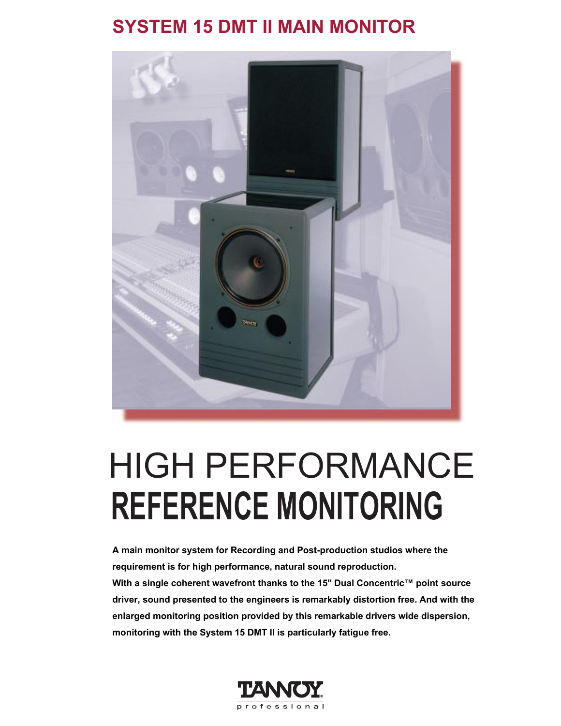## **SYSTEM 15 DMT II MAIN MONITOR**



# **REFERENCE MONITORING** HIGH PERFORMANCE

**A main monitor system for Recording and Post-production studios where the requirement is for high performance, natural sound reproduction. With a single coherent wavefront thanks to the 15" Dual Concentric™ point source driver, sound presented to the engineers is remarkably distortion free. And with the enlarged monitoring position provided by this remarkable drivers wide dispersion, monitoring with the System 15 DMT II is particularly fatigue free.**